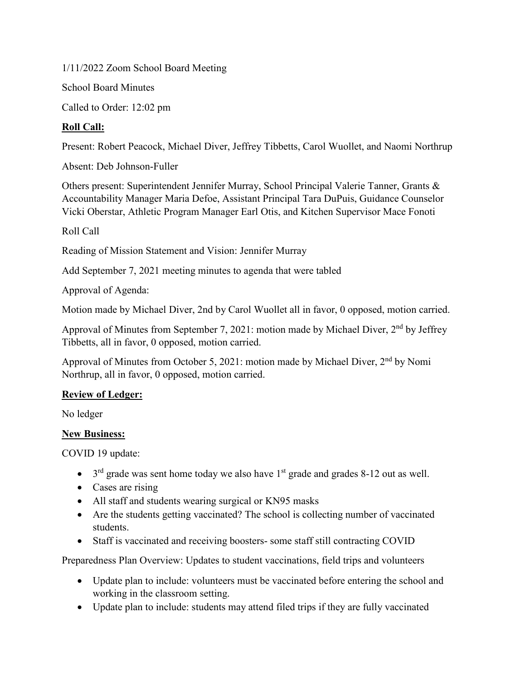1/11/2022 Zoom School Board Meeting

School Board Minutes

Called to Order: 12:02 pm

# **Roll Call:**

Present: Robert Peacock, Michael Diver, Jeffrey Tibbetts, Carol Wuollet, and Naomi Northrup

Absent: Deb Johnson-Fuller

Others present: Superintendent Jennifer Murray, School Principal Valerie Tanner, Grants & Accountability Manager Maria Defoe, Assistant Principal Tara DuPuis, Guidance Counselor Vicki Oberstar, Athletic Program Manager Earl Otis, and Kitchen Supervisor Mace Fonoti

Roll Call

Reading of Mission Statement and Vision: Jennifer Murray

Add September 7, 2021 meeting minutes to agenda that were tabled

Approval of Agenda:

Motion made by Michael Diver, 2nd by Carol Wuollet all in favor, 0 opposed, motion carried.

Approval of Minutes from September 7, 2021: motion made by Michael Diver, 2<sup>nd</sup> by Jeffrey Tibbetts, all in favor, 0 opposed, motion carried.

Approval of Minutes from October 5, 2021: motion made by Michael Diver, 2nd by Nomi Northrup, all in favor, 0 opposed, motion carried.

## **Review of Ledger:**

No ledger

## **New Business:**

COVID 19 update:

- $3<sup>rd</sup>$  grade was sent home today we also have 1<sup>st</sup> grade and grades 8-12 out as well.
- Cases are rising
- All staff and students wearing surgical or KN95 masks
- Are the students getting vaccinated? The school is collecting number of vaccinated students.
- Staff is vaccinated and receiving boosters- some staff still contracting COVID

Preparedness Plan Overview: Updates to student vaccinations, field trips and volunteers

- Update plan to include: volunteers must be vaccinated before entering the school and working in the classroom setting.
- Update plan to include: students may attend filed trips if they are fully vaccinated